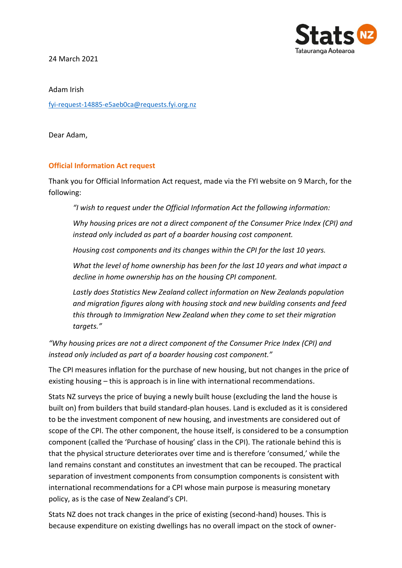

24 March 2021

Adam Irish

[fyi-request-14885-e5aeb0ca@requests.fyi.org.nz](mailto:xxxxxxxxxxxxxxxxxxxxxxxxxx@xxxxxxxx.xxx.xxx.xx)

Dear Adam,

## **Official Information Act request**

Thank you for Official Information Act request, made via the FYI website on 9 March, for the following:

*"I wish to request under the Official Information Act the following information:*

*Why housing prices are not a direct component of the Consumer Price Index (CPI) and instead only included as part of a boarder housing cost component.* 

*Housing cost components and its changes within the CPI for the last 10 years.* 

*What the level of home ownership has been for the last 10 years and what impact a decline in home ownership has on the housing CPI component.* 

*Lastly does Statistics New Zealand collect information on New Zealands population and migration figures along with housing stock and new building consents and feed this through to Immigration New Zealand when they come to set their migration targets."*

*"Why housing prices are not a direct component of the Consumer Price Index (CPI) and instead only included as part of a boarder housing cost component."*

The CPI measures inflation for the purchase of new housing, but not changes in the price of existing housing – this is approach is in line with international recommendations.

Stats NZ surveys the price of buying a newly built house (excluding the land the house is built on) from builders that build standard-plan houses. Land is excluded as it is considered to be the investment component of new housing, and investments are considered out of scope of the CPI. The other component, the house itself, is considered to be a consumption component (called the 'Purchase of housing' class in the CPI). The rationale behind this is that the physical structure deteriorates over time and is therefore 'consumed,' while the land remains constant and constitutes an investment that can be recouped. The practical separation of investment components from consumption components is consistent with international recommendations for a CPI whose main purpose is measuring monetary policy, as is the case of New Zealand's CPI.

Stats NZ does not track changes in the price of existing (second-hand) houses. This is because expenditure on existing dwellings has no overall impact on the stock of owner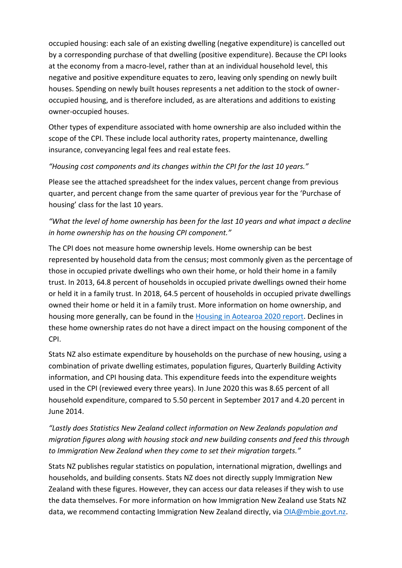occupied housing: each sale of an existing dwelling (negative expenditure) is cancelled out by a corresponding purchase of that dwelling (positive expenditure). Because the CPI looks at the economy from a macro-level, rather than at an individual household level, this negative and positive expenditure equates to zero, leaving only spending on newly built houses. Spending on newly built houses represents a net addition to the stock of owneroccupied housing, and is therefore included, as are alterations and additions to existing owner-occupied houses.

Other types of expenditure associated with home ownership are also included within the scope of the CPI. These include local authority rates, property maintenance, dwelling insurance, conveyancing legal fees and real estate fees.

## *"Housing cost components and its changes within the CPI for the last 10 years."*

Please see the attached spreadsheet for the index values, percent change from previous quarter, and percent change from the same quarter of previous year for the 'Purchase of housing' class for the last 10 years.

## *"What the level of home ownership has been for the last 10 years and what impact a decline in home ownership has on the housing CPI component."*

The CPI does not measure home ownership levels. Home ownership can be best represented by household data from the census; most commonly given as the percentage of those in occupied private dwellings who own their home, or hold their home in a family trust. In 2013, 64.8 percent of households in occupied private dwellings owned their home or held it in a family trust. In 2018, 64.5 percent of households in occupied private dwellings owned their home or held it in a family trust. More information on home ownership, and housing more generally, can be found in the **Housing in Aotearoa 2020 report**. Declines in these home ownership rates do not have a direct impact on the housing component of the CPI.

Stats NZ also estimate expenditure by households on the purchase of new housing, using a combination of private dwelling estimates, population figures, Quarterly Building Activity information, and CPI housing data. This expenditure feeds into the expenditure weights used in the CPI (reviewed every three years). In June 2020 this was 8.65 percent of all household expenditure, compared to 5.50 percent in September 2017 and 4.20 percent in June 2014.

## *"Lastly does Statistics New Zealand collect information on New Zealands population and migration figures along with housing stock and new building consents and feed this through to Immigration New Zealand when they come to set their migration targets."*

Stats NZ publishes regular statistics on population, international migration, dwellings and households, and building consents. Stats NZ does not directly supply Immigration New Zealand with these figures. However, they can access our data releases if they wish to use the data themselves. For more information on how Immigration New Zealand use Stats NZ data, we recommend contacting Immigration New Zealand directly, via [OIA@mbie.govt.nz.](mailto:xxx@xxxx.xxxx.xx)